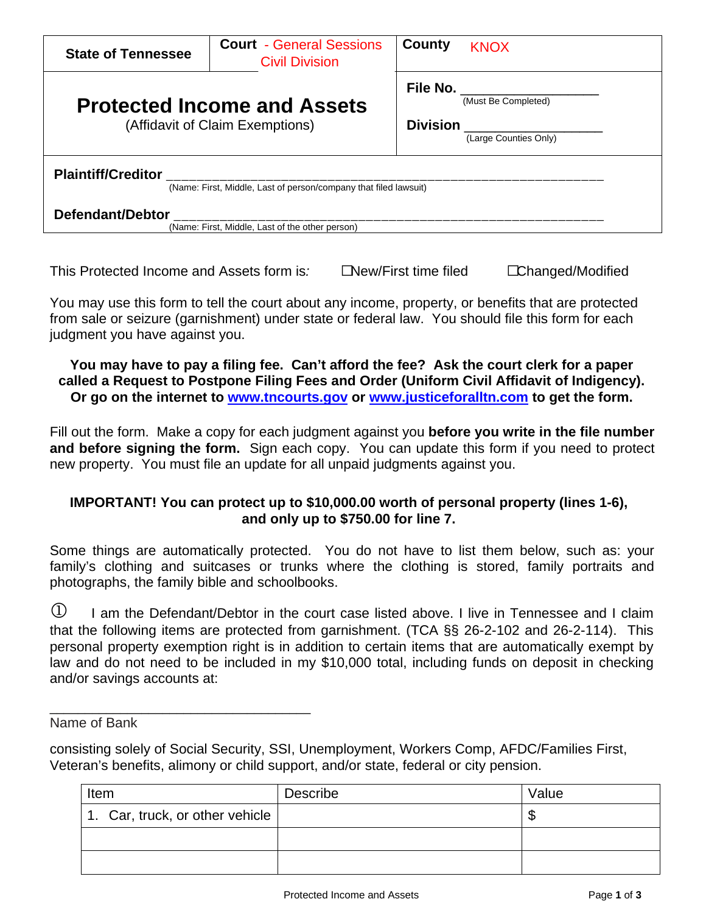| <b>State of Tennessee</b>                                                                     | <b>Court - General Sessions</b><br><b>Civil Division</b> | County                             | <b>KNOX</b>                                  |  |  |
|-----------------------------------------------------------------------------------------------|----------------------------------------------------------|------------------------------------|----------------------------------------------|--|--|
| <b>Protected Income and Assets</b><br>(Affidavit of Claim Exemptions)                         |                                                          | <b>File No.</b><br><b>Division</b> | (Must Be Completed)<br>(Large Counties Only) |  |  |
| <b>Plaintiff/Creditor</b><br>(Name: First, Middle, Last of person/company that filed lawsuit) |                                                          |                                    |                                              |  |  |
| Defendant/Debtor<br>(Name: First, Middle, Last of the other person)                           |                                                          |                                    |                                              |  |  |

This Protected Income and Assets form is: New/First time filed Changed/Modified

You may use this form to tell the court about any income, property, or benefits that are protected from sale or seizure (garnishment) under state or federal law. You should file this form for each judgment you have against you.

## **You may have to pay a filing fee. Can't afford the fee? Ask the court clerk for a paper called a Request to Postpone Filing Fees and Order (Uniform Civil Affidavit of Indigency). Or go on the internet to [www.tncourts.gov](http://www.tncourts.gov/) or [www.justiceforalltn.com](http://www.justiceforalltn.com/) to get the form.**

Fill out the form. Make a copy for each judgment against you **before you write in the file number and before signing the form.** Sign each copy. You can update this form if you need to protect new property. You must file an update for all unpaid judgments against you.

# **IMPORTANT! You can protect up to \$10,000.00 worth of personal property (lines 1-6), and only up to \$750.00 for line 7.**

Some things are automatically protected. You do not have to list them below, such as: your family's clothing and suitcases or trunks where the clothing is stored, family portraits and photographs, the family bible and schoolbooks.

 $\Phi$  I am the Defendant/Debtor in the court case listed above. I live in Tennessee and I claim that the following items are protected from garnishment. (TCA §§ 26-2-102 and 26-2-114).This personal property exemption right is in addition to certain items that are automatically exempt by law and do not need to be included in my \$10,000 total, including funds on deposit in checking and/or savings accounts at:

Name of Bank

\_\_\_\_\_\_\_\_\_\_\_\_\_\_\_\_\_\_\_\_\_\_\_\_\_\_\_\_\_\_\_\_\_\_\_\_\_

consisting solely of Social Security, SSI, Unemployment, Workers Comp, AFDC/Families First, Veteran's benefits, alimony or child support, and/or state, federal or city pension.

| Item                            | Describe | Value |  |
|---------------------------------|----------|-------|--|
| 1. Car, truck, or other vehicle |          | \$    |  |
|                                 |          |       |  |
|                                 |          |       |  |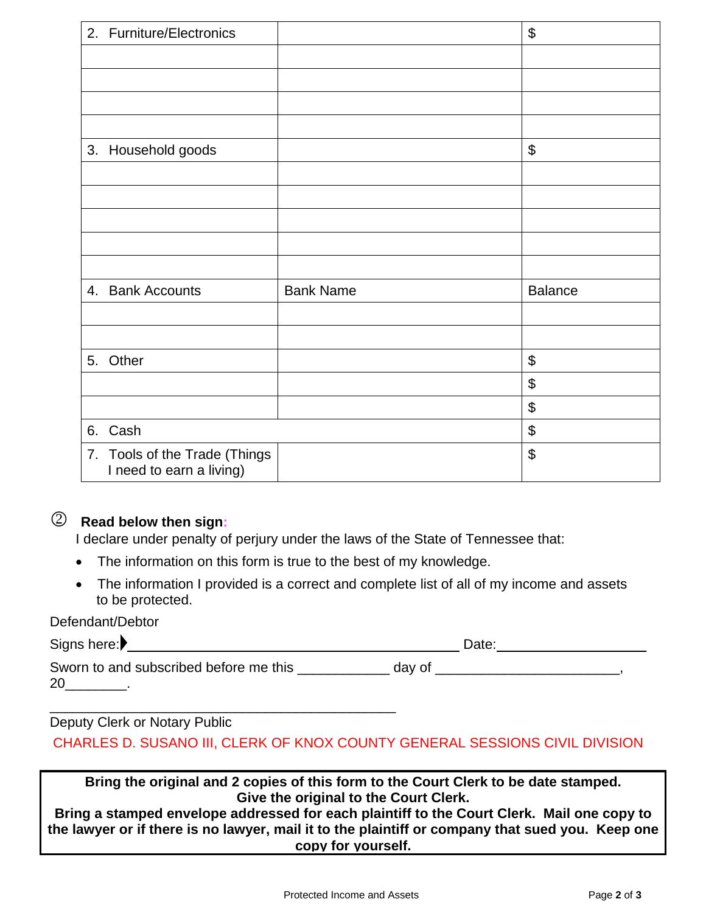| 2. Furniture/Electronics                                  |                  | $\boldsymbol{\mathsf{\$}}$ |
|-----------------------------------------------------------|------------------|----------------------------|
|                                                           |                  |                            |
|                                                           |                  |                            |
|                                                           |                  |                            |
|                                                           |                  |                            |
| 3. Household goods                                        |                  | $\boldsymbol{\mathsf{S}}$  |
|                                                           |                  |                            |
|                                                           |                  |                            |
|                                                           |                  |                            |
|                                                           |                  |                            |
|                                                           |                  |                            |
| 4. Bank Accounts                                          | <b>Bank Name</b> | <b>Balance</b>             |
|                                                           |                  |                            |
|                                                           |                  |                            |
| 5. Other                                                  |                  | $\boldsymbol{\theta}$      |
|                                                           |                  | $\boldsymbol{\mathsf{\$}}$ |
|                                                           |                  | $\boldsymbol{\theta}$      |
| 6. Cash                                                   |                  | $\boldsymbol{\mathsf{\$}}$ |
| 7. Tools of the Trade (Things<br>I need to earn a living) |                  | $\boldsymbol{\theta}$      |

# **Read below then sign:**

I declare under penalty of perjury under the laws of the State of Tennessee that:

• The information on this form is true to the best of my knowledge.

\_\_\_\_\_\_\_\_\_\_\_\_\_\_\_\_\_\_\_\_\_\_\_\_\_\_\_\_\_\_\_\_\_\_\_\_\_\_\_\_\_\_\_\_\_

• The information I provided is a correct and complete list of all of my income and assets to be protected.

#### Defendant/Debtor

Signs here: Date: \_\_\_\_\_\_\_\_\_\_\_\_\_\_\_\_\_\_\_ Sworn to and subscribed before me this \_\_\_\_\_\_\_\_\_\_\_\_\_\_\_ day of \_\_\_\_\_\_\_\_\_\_\_\_\_\_\_\_\_\_ 20 \_\_\_\_\_\_\_.

Deputy Clerk or Notary Public CHARLES D. SUSANO III, CLERK OF KNOX COUNTY GENERAL SESSIONS CIVIL DIVISION

**Bring the original and 2 copies of this form to the Court Clerk to be date stamped. Give the original to the Court Clerk.** 

**Bring a stamped envelope addressed for each plaintiff to the Court Clerk. Mail one copy to the lawyer or if there is no lawyer, mail it to the plaintiff or company that sued you. Keep one copy for yourself.**